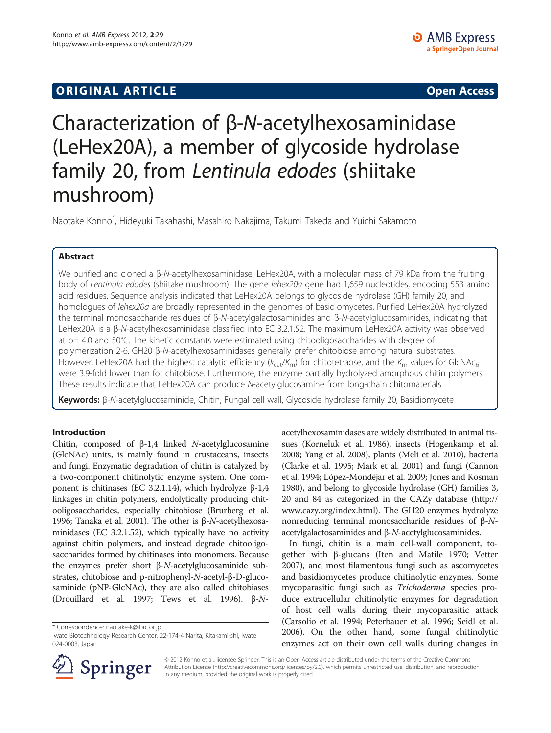## **ORIGINAL ARTICLE CONSERVANCE IN A LOCAL CONSERVANCE IN A LOCAL CONSERVANCE IN A LOCAL CONSERVANCE IN A LOCAL CONSERVANCE IN A LOCAL CONSERVANCE IN A LOCAL CONSERVANCE IN A LOCAL CONSERVANCE IN A LOCAL CONSERVANCE IN A L**

# Characterization of β-N-acetylhexosaminidase (LeHex20A), a member of glycoside hydrolase family 20, from Lentinula edodes (shiitake mushroom)

Naotake Konno\* , Hideyuki Takahashi, Masahiro Nakajima, Takumi Takeda and Yuichi Sakamoto

## Abstract

We purified and cloned a β-N-acetylhexosaminidase, LeHex20A, with a molecular mass of 79 kDa from the fruiting body of Lentinula edodes (shiitake mushroom). The gene lehex20a gene had 1,659 nucleotides, encoding 553 amino acid residues. Sequence analysis indicated that LeHex20A belongs to glycoside hydrolase (GH) family 20, and homologues of lehex20a are broadly represented in the genomes of basidiomycetes. Purified LeHex20A hydrolyzed the terminal monosaccharide residues of β-N-acetylgalactosaminides and β-N-acetylglucosaminides, indicating that LeHex20A is a β-N-acetylhexosaminidase classified into EC 3.2.1.52. The maximum LeHex20A activity was observed at pH 4.0 and 50°C. The kinetic constants were estimated using chitooligosaccharides with degree of polymerization 2-6. GH20 β-N-acetylhexosaminidases generally prefer chitobiose among natural substrates. However, LeHex20A had the highest catalytic efficiency ( $k_{cat}/K_m$ ) for chitotetraose, and the  $K_m$  values for GlcNAc<sub>6</sub> were 3.9-fold lower than for chitobiose. Furthermore, the enzyme partially hydrolyzed amorphous chitin polymers. These results indicate that LeHex20A can produce N-acetylglucosamine from long-chain chitomaterials.

Keywords: β-N-acetylglucosaminide, Chitin, Fungal cell wall, Glycoside hydrolase family 20, Basidiomycete

### Introduction

Chitin, composed of β-1,4 linked  $N$ -acetylglucosamine (GlcNAc) units, is mainly found in crustaceans, insects and fungi. Enzymatic degradation of chitin is catalyzed by a two-component chitinolytic enzyme system. One component is chitinases (EC 3.2.1.14), which hydrolyze β-1,4 linkages in chitin polymers, endolytically producing chitooligosaccharides, especially chitobiose (Brurberg et al. [1996;](#page-5-0) Tanaka et al. [2001\)](#page-6-0). The other is β-N-acetylhexosaminidases (EC 3.2.1.52), which typically have no activity against chitin polymers, and instead degrade chitooligosaccharides formed by chitinases into monomers. Because the enzymes prefer short  $β$ -N-acetylglucosaminide substrates, chitobiose and p-nitrophenyl-N-acetyl-β-D-glucosaminide (pNP-GlcNAc), they are also called chitobiases (Drouillard et al. [1997](#page-5-0); Tews et al. [1996](#page-6-0)). β-N-

\* Correspondence: [naotake-k@ibrc.or.jp](mailto:naotake-@ibrc.or.jp)



In fungi, chitin is a main cell-wall component, together with β-glucans (Iten and Matile [1970;](#page-5-0) Vetter [2007](#page-6-0)), and most filamentous fungi such as ascomycetes and basidiomycetes produce chitinolytic enzymes. Some mycoparasitic fungi such as Trichoderma species produce extracellular chitinolytic enzymes for degradation of host cell walls during their mycoparasitic attack (Carsolio et al. [1994;](#page-5-0) Peterbauer et al. [1996](#page-6-0); Seidl et al. [2006](#page-6-0)). On the other hand, some fungal chitinolytic enzymes act on their own cell walls during changes in



© 2012 Konno et al.; licensee Springer. This is an Open Access article distributed under the terms of the Creative Commons Attribution License [\(http://creativecommons.org/licenses/by/2.0\)](http://creativecommons.org/licenses/by/2.0), which permits unrestricted use, distribution, and reproduction in any medium, provided the original work is properly cited.

Iwate Biotechnology Research Center, 22-174-4 Narita, Kitakami-shi, Iwate 024-0003, Japan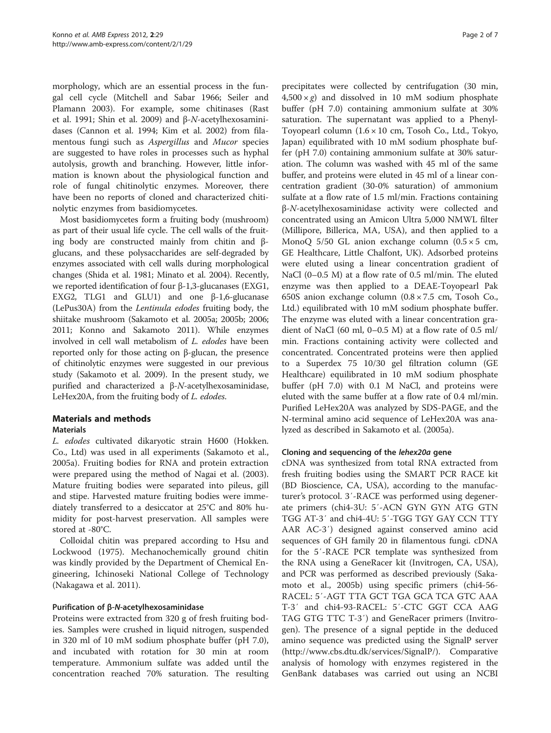morphology, which are an essential process in the fungal cell cycle (Mitchell and Sabar [1966](#page-5-0); Seiler and Plamann [2003\)](#page-6-0). For example, some chitinases (Rast et al. [1991](#page-6-0); Shin et al. [2009](#page-6-0)) and β-N-acetylhexosaminidases (Cannon et al. [1994](#page-5-0); Kim et al. [2002](#page-5-0)) from filamentous fungi such as Aspergillus and Mucor species are suggested to have roles in processes such as hyphal autolysis, growth and branching. However, little information is known about the physiological function and role of fungal chitinolytic enzymes. Moreover, there have been no reports of cloned and characterized chitinolytic enzymes from basidiomycetes.

Most basidiomycetes form a fruiting body (mushroom) as part of their usual life cycle. The cell walls of the fruiting body are constructed mainly from chitin and βglucans, and these polysaccharides are self-degraded by enzymes associated with cell walls during morphological changes (Shida et al. [1981;](#page-6-0) Minato et al. [2004](#page-5-0)). Recently, we reported identification of four β-1,3-glucanases (EXG1, EXG2, TLG1 and GLU1) and one β-1,6-glucanase (LePus30A) from the Lentinula edodes fruiting body, the shiitake mushroom (Sakamoto et al. [2005a](#page-6-0); [2005b](#page-6-0); [2006](#page-6-0); [2011;](#page-6-0) Konno and Sakamoto [2011\)](#page-5-0). While enzymes involved in cell wall metabolism of L. edodes have been reported only for those acting on β-glucan, the presence of chitinolytic enzymes were suggested in our previous study (Sakamoto et al. [2009\)](#page-6-0). In the present study, we purified and characterized a β-N-acetylhexosaminidase, LeHex20A, from the fruiting body of L. edodes.

## Materials and methods

### Materials

L. edodes cultivated dikaryotic strain H600 (Hokken. Co., Ltd) was used in all experiments (Sakamoto et al., [2005a\)](#page-6-0). Fruiting bodies for RNA and protein extraction were prepared using the method of Nagai et al. ([2003](#page-5-0)). Mature fruiting bodies were separated into pileus, gill and stipe. Harvested mature fruiting bodies were immediately transferred to a desiccator at 25°C and 80% humidity for post-harvest preservation. All samples were stored at -80°C.

Colloidal chitin was prepared according to Hsu and Lockwood [\(1975\)](#page-5-0). Mechanochemically ground chitin was kindly provided by the Department of Chemical Engineering, Ichinoseki National College of Technology (Nakagawa et al. [2011](#page-5-0)).

### Purification of β-N-acetylhexosaminidase

Proteins were extracted from 320 g of fresh fruiting bodies. Samples were crushed in liquid nitrogen, suspended in 320 ml of 10 mM sodium phosphate buffer (pH 7.0), and incubated with rotation for 30 min at room temperature. Ammonium sulfate was added until the concentration reached 70% saturation. The resulting

precipitates were collected by centrifugation (30 min,  $4,500 \times g$ ) and dissolved in 10 mM sodium phosphate buffer (pH 7.0) containing ammonium sulfate at 30% saturation. The supernatant was applied to a Phenyl-Toyopearl column  $(1.6 \times 10 \text{ cm}, \text{Tosoh Co., Ltd., Tokyo},$ Japan) equilibrated with 10 mM sodium phosphate buffer (pH 7.0) containing ammonium sulfate at 30% saturation. The column was washed with 45 ml of the same buffer, and proteins were eluted in 45 ml of a linear concentration gradient (30-0% saturation) of ammonium sulfate at a flow rate of 1.5 ml/min. Fractions containing β-N-acetylhexosaminidase activity were collected and concentrated using an Amicon Ultra 5,000 NMWL filter (Millipore, Billerica, MA, USA), and then applied to a MonoO  $5/50$  GL anion exchange column  $(0.5 \times 5 \text{ cm},$ GE Healthcare, Little Chalfont, UK). Adsorbed proteins were eluted using a linear concentration gradient of NaCl (0–0.5 M) at a flow rate of 0.5 ml/min. The eluted enzyme was then applied to a DEAE-Toyopearl Pak 650S anion exchange column (0.8 × 7.5 cm, Tosoh Co., Ltd.) equilibrated with 10 mM sodium phosphate buffer. The enzyme was eluted with a linear concentration gradient of NaCl (60 ml, 0–0.5 M) at a flow rate of 0.5 ml/ min. Fractions containing activity were collected and concentrated. Concentrated proteins were then applied to a Superdex 75 10/30 gel filtration column (GE Healthcare) equilibrated in 10 mM sodium phosphate buffer (pH 7.0) with 0.1 M NaCl, and proteins were eluted with the same buffer at a flow rate of 0.4 ml/min. Purified LeHex20A was analyzed by SDS-PAGE, and the N-terminal amino acid sequence of LeHex20A was analyzed as described in Sakamoto et al. [\(2005a](#page-6-0)).

### Cloning and sequencing of the lehex20a gene

cDNA was synthesized from total RNA extracted from fresh fruiting bodies using the SMART PCR RACE kit (BD Bioscience, CA, USA), according to the manufacturer's protocol. 3′-RACE was performed using degenerate primers (chi4-3U: 5′-ACN GYN GYN ATG GTN TGG AT-3′ and chi4-4U: 5′-TGG TGY GAY CCN TTY AAR AC-3′) designed against conserved amino acid sequences of GH family 20 in filamentous fungi. cDNA for the 5′-RACE PCR template was synthesized from the RNA using a GeneRacer kit (Invitrogen, CA, USA), and PCR was performed as described previously (Sakamoto et al., [2005b](#page-6-0)) using specific primers (chi4-56- RACEL: 5′-AGT TTA GCT TGA GCA TCA GTC AAA T-3′ and chi4-93-RACEL: 5′-CTC GGT CCA AAG TAG GTG TTC T-3′) and GeneRacer primers (Invitrogen). The presence of a signal peptide in the deduced amino sequence was predicted using the SignalP server ([http://www.cbs.dtu.dk/services/SignalP/\)](http://www.cbs.dtu.dk/services/SignalP/). Comparative analysis of homology with enzymes registered in the GenBank databases was carried out using an NCBI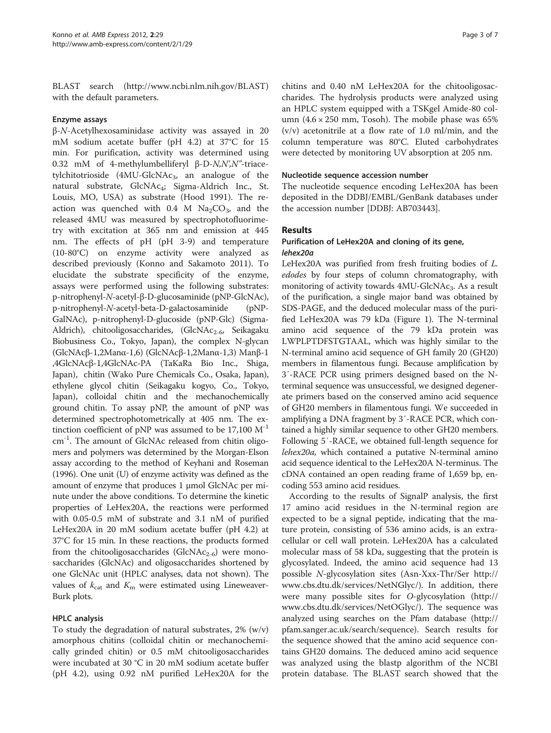BLAST search (<http://www.ncbi.nlm.nih.gov/BLAST>) with the default parameters.

#### Enzyme assays

β-N-Acetylhexosaminidase activity was assayed in 20 mM sodium acetate buffer (pH 4.2) at 37°C for 15 min. For purification, activity was determined using 0.32 mM of 4-methylumbelliferyl β-D-N,N',N"-triacetylchitotrioside  $(4MU-GlcNAc<sub>3</sub>)$ , an analogue of the natural substrate, GlcNAc<sub>4</sub>; Sigma-Aldrich Inc., St. Louis, MO, USA) as substrate (Hood [1991](#page-5-0)). The reaction was quenched with  $0.4$  M  $Na<sub>2</sub>CO<sub>3</sub>$ , and the released 4MU was measured by spectrophotofluorimetry with excitation at 365 nm and emission at 445 nm. The effects of pH (pH 3-9) and temperature (10-80°C) on enzyme activity were analyzed as described previously (Konno and Sakamoto [2011](#page-5-0)). To elucidate the substrate specificity of the enzyme, assays were performed using the following substrates: p-nitrophenyl-N-acetyl-β-D-glucosaminide (pNP-GlcNAc), p-nitrophenyl-N-acetyl-beta-D-galactosaminide (pNP-GalNAc), p-nitrophenyl-D-glucoside (pNP-Glc) (Sigma-Aldrich), chitooligosaccharides, (GlcNAc<sub>2-6</sub>, Seikagaku Biobusiness Co., Tokyo, Japan), the complex N-glycan (GlcNAcβ-1,2Manα-1,6) (GlcNAcβ-1,2Manα-1,3) Manβ-1 ,4GlcNAcβ-1,4GlcNAc-PA (TaKaRa Bio Inc., Shiga, Japan), chitin (Wako Pure Chemicals Co., Osaka, Japan), ethylene glycol chitin (Seikagaku kogyo, Co., Tokyo, Japan), colloidal chitin and the mechanochemically ground chitin. To assay pNP, the amount of pNP was determined spectrophotometrically at 405 nm. The extinction coefficient of pNP was assumed to be  $17,100 \text{ M}^{-1}$ cm<sup>-1</sup>. The amount of GlcNAc released from chitin oligomers and polymers was determined by the Morgan-Elson assay according to the method of Keyhani and Roseman ([1996](#page-5-0)). One unit (U) of enzyme activity was defined as the amount of enzyme that produces 1 μmol GlcNAc per minute under the above conditions. To determine the kinetic properties of LeHex20A, the reactions were performed with 0.05-0.5 mM of substrate and 3.1 nM of purified LeHex20A in 20 mM sodium acetate buffer (pH 4.2) at 37°C for 15 min. In these reactions, the products formed from the chitooligosaccharides (GlcNA $c_{2-6}$ ) were monosaccharides (GlcNAc) and oligosaccharides shortened by one GlcNAc unit (HPLC analyses, data not shown). The values of  $k_{\text{cat}}$  and  $K_{\text{m}}$  were estimated using Lineweaver-Burk plots.

## HPLC analysis

To study the degradation of natural substrates,  $2\%$  (w/v) amorphous chitins (colloidal chitin or mechanochemically grinded chitin) or 0.5 mM chitooligosaccharides were incubated at 30 °C in 20 mM sodium acetate buffer (pH 4.2), using 0.92 nM purified LeHex20A for the

chitins and 0.40 nM LeHex20A for the chitooligosaccharides. The hydrolysis products were analyzed using an HPLC system equipped with a TSKgel Amide-80 column  $(4.6 \times 250 \text{ mm}, \text{Tosoh})$ . The mobile phase was 65% (v/v) acetonitrile at a flow rate of 1.0 ml/min, and the column temperature was 80°C. Eluted carbohydrates were detected by monitoring UV absorption at 205 nm.

#### Nucleotide sequence accession number

The nucleotide sequence encoding LeHex20A has been deposited in the DDBJ/EMBL/GenBank databases under the accession number [DDBJ: AB703443].

### Results

### Purification of LeHex20A and cloning of its gene, lehex20a

LeHex20A was purified from fresh fruiting bodies of L. edodes by four steps of column chromatography, with monitoring of activity towards 4MU-GlcNAc<sub>3</sub>. As a result of the purification, a single major band was obtained by SDS-PAGE, and the deduced molecular mass of the purified LeHex20A was 79 kDa (Figure [1\)](#page-3-0). The N-terminal amino acid sequence of the 79 kDa protein was LWPLPTDFSTGTAAL, which was highly similar to the N-terminal amino acid sequence of GH family 20 (GH20) members in filamentous fungi. Because amplification by 3′-RACE PCR using primers designed based on the Nterminal sequence was unsuccessful, we designed degenerate primers based on the conserved amino acid sequence of GH20 members in filamentous fungi. We succeeded in amplifying a DNA fragment by 3′-RACE PCR, which contained a highly similar sequence to other GH20 members. Following 5′-RACE, we obtained full-length sequence for lehex20a, which contained a putative N-terminal amino acid sequence identical to the LeHex20A N-terminus. The cDNA contained an open reading frame of 1,659 bp, encoding 553 amino acid residues.

According to the results of SignalP analysis, the first 17 amino acid residues in the N-terminal region are expected to be a signal peptide, indicating that the mature protein, consisting of 536 amino acids, is an extracellular or cell wall protein. LeHex20A has a calculated molecular mass of 58 kDa, suggesting that the protein is glycosylated. Indeed, the amino acid sequence had 13 possible N-glycosylation sites (Asn-Xxx-Thr/Ser [http://](http://www.cbs.dtu.dk/services/NetNGlyc/) [www.cbs.dtu.dk/services/NetNGlyc/](http://www.cbs.dtu.dk/services/NetNGlyc/)). In addition, there were many possible sites for O-glycosylation [\(http://](http://www.cbs.dtu.dk/services/NetOGlyc/) [www.cbs.dtu.dk/services/NetOGlyc/\)](http://www.cbs.dtu.dk/services/NetOGlyc/). The sequence was analyzed using searches on the Pfam database [\(http://](http://pfam.sanger.ac.uk/search/sequence) [pfam.sanger.ac.uk/search/sequence\)](http://pfam.sanger.ac.uk/search/sequence). Search results for the sequence showed that the amino acid sequence contains GH20 domains. The deduced amino acid sequence was analyzed using the blastp algorithm of the NCBI protein database. The BLAST search showed that the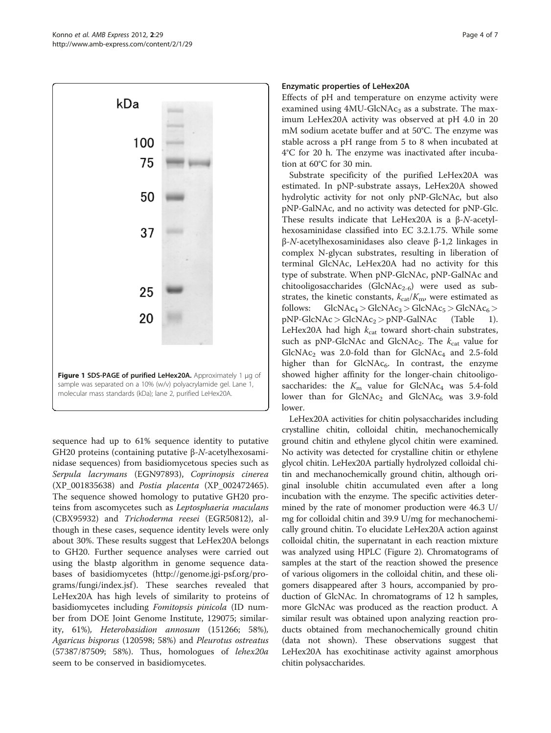<span id="page-3-0"></span>

sequence had up to 61% sequence identity to putative GH20 proteins (containing putative β-N-acetylhexosaminidase sequences) from basidiomycetous species such as Serpula lacrymans (EGN97893), Coprinopsis cinerea (XP\_001835638) and Postia placenta (XP\_002472465). The sequence showed homology to putative GH20 proteins from ascomycetes such as Leptosphaeria maculans (CBX95932) and Trichoderma reesei (EGR50812), although in these cases, sequence identity levels were only about 30%. These results suggest that LeHex20A belongs to GH20. Further sequence analyses were carried out using the blastp algorithm in genome sequence databases of basidiomycetes [\(http://genome.jgi-psf.org/pro](http://genome.jgi-psf.org/programs/fungi/index.jsf)[grams/fungi/index.jsf](http://genome.jgi-psf.org/programs/fungi/index.jsf)). These searches revealed that LeHex20A has high levels of similarity to proteins of basidiomycetes including Fomitopsis pinicola (ID number from DOE Joint Genome Institute, 129075; similarity, 61%), Heterobasidion annosum (151266; 58%), Agaricus bisporus (120598; 58%) and Pleurotus ostreatus (57387/87509; 58%). Thus, homologues of lehex20a seem to be conserved in basidiomycetes.

### Enzymatic properties of LeHex20A

Effects of pH and temperature on enzyme activity were examined using  $4MU-GlcNAc<sub>3</sub>$  as a substrate. The maximum LeHex20A activity was observed at pH 4.0 in 20 mM sodium acetate buffer and at 50°C. The enzyme was stable across a pH range from 5 to 8 when incubated at 4°C for 20 h. The enzyme was inactivated after incubation at 60°C for 30 min.

Substrate specificity of the purified LeHex20A was estimated. In pNP-substrate assays, LeHex20A showed hydrolytic activity for not only pNP-GlcNAc, but also pNP-GalNAc, and no activity was detected for pNP-Glc. These results indicate that LeHex20A is a β-N-acetylhexosaminidase classified into EC 3.2.1.75. While some β-N-acetylhexosaminidases also cleave β-1,2 linkages in complex N-glycan substrates, resulting in liberation of terminal GlcNAc, LeHex20A had no activity for this type of substrate. When pNP-GlcNAc, pNP-GalNAc and chitooligosaccharides (GlcNA $c_{2-6}$ ) were used as substrates, the kinetic constants,  $k_{cat}/K_{\rm m}$ , were estimated as follows:  $GlcNAc_4 > GlcNAc_3 > GlcNAc_5 > GlcNAc_6>$  $pNP-GlcNAc > GlcNAc_2 > pNP-GalNAc$  (Table [1](#page-4-0)). LeHex20A had high  $k_{\text{cat}}$  toward short-chain substrates, such as pNP-GlcNAc and GlcNAc<sub>2</sub>. The  $k_{\text{cat}}$  value for  $GlcNAc<sub>2</sub>$  was 2.0-fold than for  $GlcNAc<sub>4</sub>$  and 2.5-fold higher than for  $GlcNAc<sub>6</sub>$ . In contrast, the enzyme showed higher affinity for the longer-chain chitooligosaccharides: the  $K<sub>m</sub>$  value for GlcNAc<sub>4</sub> was 5.4-fold lower than for  $GlcNAc_2$  and  $GlcNAc_6$  was 3.9-fold lower.

LeHex20A activities for chitin polysaccharides including crystalline chitin, colloidal chitin, mechanochemically ground chitin and ethylene glycol chitin were examined. No activity was detected for crystalline chitin or ethylene glycol chitin. LeHex20A partially hydrolyzed colloidal chitin and mechanochemically ground chitin, although original insoluble chitin accumulated even after a long incubation with the enzyme. The specific activities determined by the rate of monomer production were 46.3 U/ mg for colloidal chitin and 39.9 U/mg for mechanochemically ground chitin. To elucidate LeHex20A action against colloidal chitin, the supernatant in each reaction mixture was analyzed using HPLC (Figure [2\)](#page-4-0). Chromatograms of samples at the start of the reaction showed the presence of various oligomers in the colloidal chitin, and these oligomers disappeared after 3 hours, accompanied by production of GlcNAc. In chromatograms of 12 h samples, more GlcNAc was produced as the reaction product. A similar result was obtained upon analyzing reaction products obtained from mechanochemically ground chitin (data not shown). These observations suggest that LeHex20A has exochitinase activity against amorphous chitin polysaccharides.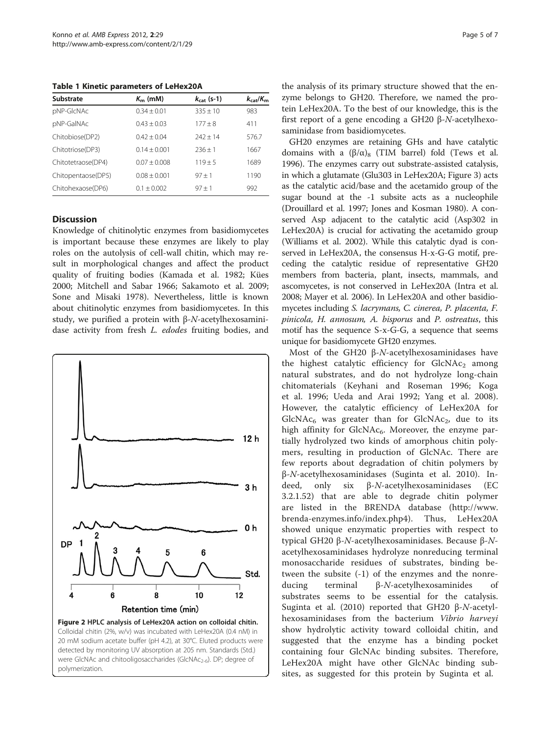<span id="page-4-0"></span>Table 1 Kinetic parameters of LeHex20A

| Substrate          | $K_{\rm m}$ (mM) | $k_{\text{cat}}$ (s-1) | $k_{\text{cat}}/K_{\text{m}}$ |  |
|--------------------|------------------|------------------------|-------------------------------|--|
| pNP-GIcNAc         | $0.34 + 0.01$    | $335 + 10$             | 983                           |  |
| pNP-GalNAc         | $0.43 + 0.03$    | $177 + 8$              | 411                           |  |
| Chitobiose(DP2)    | $0.42 + 0.04$    | $747 + 14$             | 576.7                         |  |
| Chitotriose(DP3)   | $0.14 \pm 0.001$ | $236 + 1$              | 1667                          |  |
| Chitotetraose(DP4) | $0.07 + 0.008$   | $119 + 5$              | 1689                          |  |
| Chitopentaose(DP5) | $0.08 + 0.001$   | $97 + 1$               | 1190                          |  |
| Chitohexaose(DP6)  | $0.1 + 0.002$    | $97 + 1$               | 992                           |  |

## **Discussion**

Knowledge of chitinolytic enzymes from basidiomycetes is important because these enzymes are likely to play roles on the autolysis of cell-wall chitin, which may result in morphological changes and affect the product quality of fruiting bodies (Kamada et al. [1982](#page-5-0); Kües [2000](#page-5-0); Mitchell and Sabar [1966;](#page-5-0) Sakamoto et al. [2009](#page-6-0); Sone and Misaki [1978\)](#page-6-0). Nevertheless, little is known about chitinolytic enzymes from basidiomycetes. In this study, we purified a protein with β-N-acetylhexosaminidase activity from fresh L. edodes fruiting bodies, and



the analysis of its primary structure showed that the enzyme belongs to GH20. Therefore, we named the protein LeHex20A. To the best of our knowledge, this is the first report of a gene encoding a GH20 β-N-acetylhexosaminidase from basidiomycetes.

GH20 enzymes are retaining GHs and have catalytic domains with a  $(β/α)_8$  (TIM barrel) fold (Tews et al. [1996](#page-6-0)). The enzymes carry out substrate-assisted catalysis, in which a glutamate (Glu303 in LeHex20A; Figure [3](#page-5-0)) acts as the catalytic acid/base and the acetamido group of the sugar bound at the -1 subsite acts as a nucleophile (Drouillard et al. [1997;](#page-5-0) Jones and Kosman [1980\)](#page-5-0). A conserved Asp adjacent to the catalytic acid (Asp302 in LeHex20A) is crucial for activating the acetamido group (Williams et al. [2002](#page-6-0)). While this catalytic dyad is conserved in LeHex20A, the consensus H-x-G-G motif, preceding the catalytic residue of representative GH20 members from bacteria, plant, insects, mammals, and ascomycetes, is not conserved in LeHex20A (Intra et al. [2008](#page-5-0); Mayer et al. [2006](#page-5-0)). In LeHex20A and other basidiomycetes including S. lacrymans, C. cinerea, P. placenta, F. pinicola, H. annosum, A. bisporus and P. ostreatus, this motif has the sequence S-x-G-G, a sequence that seems unique for basidiomycete GH20 enzymes.

Most of the GH20 β-N-acetylhexosaminidases have the highest catalytic efficiency for  $GlcNAc<sub>2</sub>$  among natural substrates, and do not hydrolyze long-chain chitomaterials (Keyhani and Roseman [1996;](#page-5-0) Koga et al. [1996;](#page-5-0) Ueda and Arai [1992;](#page-6-0) Yang et al. [2008](#page-6-0)). However, the catalytic efficiency of LeHex20A for  $GlcNAc<sub>6</sub>$  was greater than for  $GlcNAc<sub>2</sub>$ , due to its high affinity for  $GlcNAc_6$ . Moreover, the enzyme partially hydrolyzed two kinds of amorphous chitin polymers, resulting in production of GlcNAc. There are few reports about degradation of chitin polymers by β-N-acetylhexosaminidases (Suginta et al. [2010](#page-6-0)). Indeed, only six β-N-acetylhexosaminidases (EC 3.2.1.52) that are able to degrade chitin polymer are listed in the BRENDA database ([http://www.](http://www.brenda-enzymes.info/index.php4) [brenda-enzymes.info/index.php4\)](http://www.brenda-enzymes.info/index.php4). Thus, LeHex20A showed unique enzymatic properties with respect to typical GH20 β-N-acetylhexosaminidases. Because β-Nacetylhexosaminidases hydrolyze nonreducing terminal monosaccharide residues of substrates, binding between the subsite (-1) of the enzymes and the nonreducing terminal β-N-acetylhexosaminides of substrates seems to be essential for the catalysis. Suginta et al. [\(2010](#page-6-0)) reported that GH20 β-N-acetylhexosaminidases from the bacterium Vibrio harveyi show hydrolytic activity toward colloidal chitin, and suggested that the enzyme has a binding pocket containing four GlcNAc binding subsites. Therefore, LeHex20A might have other GlcNAc binding subsites, as suggested for this protein by Suginta et al.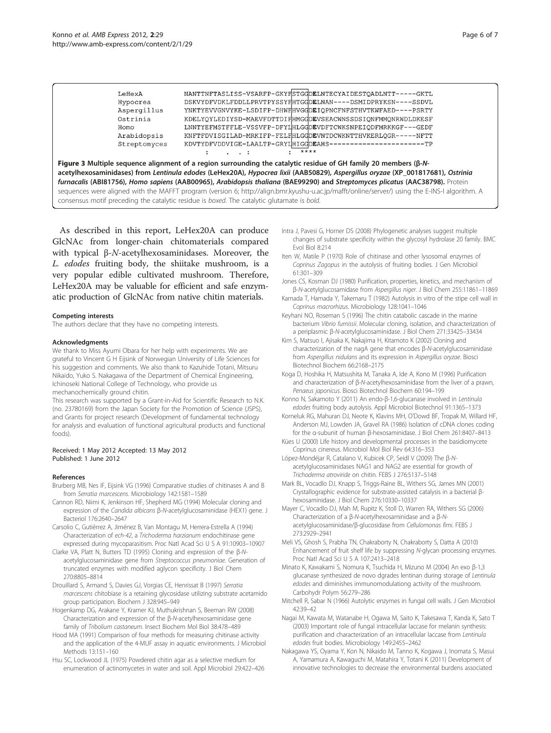<span id="page-5-0"></span>

| Homo<br>Arabidopsis |  |  | LNNTYEFMSTFFLE-VSSVFP-DFY1HLGGDEVDFTCWKSNPEIODFMRKKGF---GEDF<br>KNFTFDVISGILAD-MRKIFP-FELFHLGGDEVNTDCWKNTTHVKERLQGR-----NFTT |  |
|---------------------|--|--|------------------------------------------------------------------------------------------------------------------------------|--|
| Streptomyces        |  |  | KDVTYDFVDDVIGE-LAALTP-GRY1HIGGDEAHS----------------------TP<br>****                                                          |  |

furnacalis (ABI81756), Homo sapiens (AAB00965), Arabidopsis thaliana (BAE99290) and Streptomyces plicatus (AAC38798). Protein sequences were aligned with the MAFFT program (version 6; [http://align.bmr.kyushu-u.ac.jp/mafft/online/server/\)](http://align.bmr.kyushu-u.ac.jp/mafft/online/server/) using the E-INS-I algorithm. A consensus motif preceding the catalytic residue is boxed. The catalytic glutamate is bold.

As described in this report, LeHex20A can produce GlcNAc from longer-chain chitomaterials compared with typical β-N-acetylhexosaminidases. Moreover, the L. edodes fruiting body, the shiitake mushroom, is a very popular edible cultivated mushroom. Therefore, LeHex20A may be valuable for efficient and safe enzymatic production of GlcNAc from native chitin materials.

#### Competing interests

The authors declare that they have no competing interests.

#### Acknowledgments

We thank to Miss Ayumi Obara for her help with experiments. We are grateful to Vincent G H Eijsink of Norwegian University of Life Sciences for his suggestion and comments. We also thank to Kazuhide Totani, Mitsuru Nikaido, Yuko S. Nakagawa of the Department of Chemical Engineering, Ichinoseki National College of Technology, who provide us mechanochemically ground chitin.

This research was supported by a Grant-in-Aid for Scientific Research to N.K. (no. 23780169) from the Japan Society for the Promotion of Science (JSPS), and Grants for project research (Development of fundamental technology for analysis and evaluation of functional agricultural products and functional foods).

#### Received: 1 May 2012 Accepted: 13 May 2012 Published: 1 June 2012

#### References

- Brurberg MB, Nes IF, Eijsink VG (1996) Comparative studies of chitinases A and B from Serratia marcescens. Microbiology 142:1581–1589
- Cannon RD, Niimi K, Jenkinson HF, Shepherd MG (1994) Molecular cloning and expression of the Candida albicans β-N-acetylglucosaminidase (HEX1) gene. J Bacteriol 176:2640–2647
- Carsolio C, Gutiérrez A, Jiménez B, Van Montagu M, Herrera-Estrella A (1994) Characterization of ech-42, a Trichoderma harzianum endochitinase gene expressed during mycoparasitism. Proc Natl Acad Sci U S A 91:10903–10907
- Clarke VA, Platt N, Butters TD (1995) Cloning and expression of the β-Nacetylglucosaminidase gene from Streptococcus pneumoniae. Generation of truncated enzymes with modified aglycon specificity. J Biol Chem 270:8805–8814
- Drouillard S, Armand S, Davies GJ, Vorgias CE, Henrissat B (1997) Serratia marcescens chitobiase is a retaining glycosidase utilizing substrate acetamido group participation. Biochem J 328:945–949
- Hogenkamp DG, Arakane Y, Kramer KJ, Muthukrishnan S, Beeman RW (2008) Characterization and expression of the β-N-acetylhexosaminidase gene family of Tribolium castaneum. Insect Biochem Mol Biol 38:478–489
- Hood MA (1991) Comparison of four methods for measuring chitinase activity and the application of the 4-MUF assay in aquatic environments. J Microbiol Methods 13:151–160
- Hsu SC, Lockwood JL (1975) Powdered chitin agar as a selective medium for enumeration of actinomycetes in water and soil. Appl Microbiol 29:422–426
- Intra J, Pavesi G, Horner DS (2008) Phylogenetic analyses suggest multiple changes of substrate specificity within the glycosyl hydrolase 20 family. BMC Evol Biol 8:214
- Iten W, Matile P (1970) Role of chitinase and other lysosomal enzymes of Coprinus Zagopus in the autolysis of fruiting bodies. J Gen Microbiol 61:301–309
- Jones CS, Kosman DJ (1980) Purification, properties, kinetics, and mechanism of β-N-acetylglucosamidase from Aspergillus niger. J Biol Chem 255:11861–11869
- Kamada T, Hamada Y, Takemaru T (1982) Autolysis in vitro of the stipe cell wall in Coprinus macrorhizus. Microbiology 128:1041–1046
- Keyhani NO, Roseman S (1996) The chitin catabolic cascade in the marine bacterium Vibrio furnissii. Molecular cloning, isolation, and characterization of a periplasmic β-N-acetylglucosaminidase. J Biol Chem 271:33425–33434
- Kim S, Matsuo I, Ajisaka K, Nakajima H, Kitamoto K (2002) Cloning and characterization of the nagA gene that encodes β-N-acetylglucosaminidase from Aspergillus nidulans and its expression in Aspergillus oryzae. Biosci Biotechnol Biochem 66:2168–2175
- Koga D, Hoshika H, Matsushita M, Tanaka A, Ide A, Kono M (1996) Purification and characterization of β-N-acetylhexosaminidase from the liver of a prawn, Penaeus japonicus. Biosci Biotechnol Biochem 60:194–199
- Konno N, Sakamoto Y (2011) An endo-β-1,6-glucanase involved in Lentinula edodes fruiting body autolysis. Appl Microbiol Biotechnol 91:1365–1373
- Korneluk RG, Mahuran DJ, Neote K, Klavins MH, O'Dowd BF, Tropak M, Willard HF, Anderson MJ, Lowden JA, Gravel RA (1986) Isolation of cDNA clones coding for the α-subunit of human β-hexosaminidase. J Biol Chem 261:8407–8413
- Kües U (2000) Life history and developmental processes in the basidiomycete Coprinus cinereus. Microbiol Mol Biol Rev 64:316–353
- López-Mondéjar R, Catalano V, Kubicek CP, Seidl V (2009) The β-Nacetylglucosaminidases NAG1 and NAG2 are essential for growth of Trichoderma atroviride on chitin. FEBS J 276:5137–5148
- Mark BL, Vocadlo DJ, Knapp S, Triggs-Raine BL, Withers SG, James MN (2001) Crystallographic evidence for substrate-assisted catalysis in a bacterial βhexosaminidase. J Biol Chem 276:10330–10337
- Mayer C, Vocadlo DJ, Mah M, Rupitz K, Stoll D, Warren RA, Withers SG (2006) Characterization of a β-N-acetylhexosaminidase and a β-Nacetylglucosaminidase/β-glucosidase from Cellulomonas fimi. FEBS J 273:2929–2941
- Meli VS, Ghosh S, Prabha TN, Chakraborty N, Chakraborty S, Datta A (2010) Enhancement of fruit shelf life by suppressing N-glycan processing enzymes. Proc Natl Acad Sci U S A 107:2413–2418
- Minato K, Kawakami S, Nomura K, Tsuchida H, Mizuno M (2004) An exo β-1,3 glucanase synthesized de novo dgrades lentinan during storage of Lentinula edodes and diminishes immunomodulationg activity of the mushroom. Carbohydr Polym 56:279–286
- Mitchell R, Sabar N (1966) Autolytic enzymes in fungal cell walls. J Gen Microbiol 42:39–42
- Nagai M, Kawata M, Watanabe H, Ogawa M, Saito K, Takesawa T, Kanda K, Sato T (2003) Important role of fungal intracellular laccase for melanin synthesis: purification and characterization of an intracellular laccase from Lentinula edodes fruit bodies. Microbiology 149:2455–2462
- Nakagawa YS, Oyama Y, Kon N, Nikaido M, Tanno K, Kogawa J, Inomata S, Masui A, Yamamura A, Kawaguchi M, Matahira Y, Totani K (2011) Development of innovative technologies to decrease the environmental burdens associated